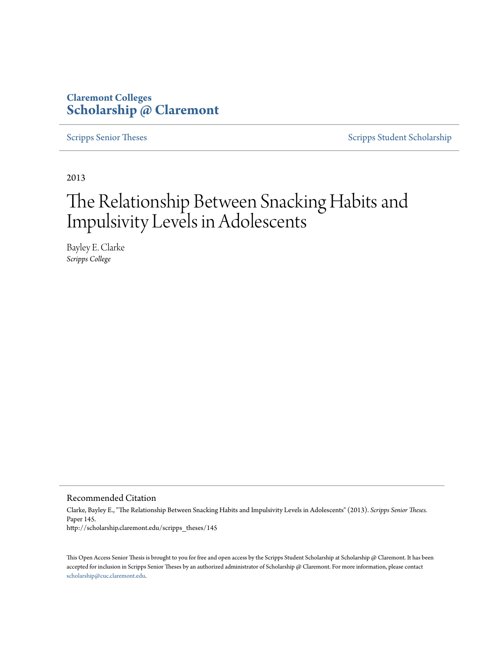# **Claremont Colleges [Scholarship @ Claremont](http://scholarship.claremont.edu)**

[Scripps Senior Theses](http://scholarship.claremont.edu/scripps_theses) [Scripps Student Scholarship](http://scholarship.claremont.edu/scripps_student)

2013

# The Relationship Between Snacking Habits and Impulsivity Levels in Adolescents

Bayley E. Clarke *Scripps College*

Recommended Citation

Clarke, Bayley E., "The Relationship Between Snacking Habits and Impulsivity Levels in Adolescents" (2013). *Scripps Senior Theses.* Paper 145. http://scholarship.claremont.edu/scripps\_theses/145

This Open Access Senior Thesis is brought to you for free and open access by the Scripps Student Scholarship at Scholarship @ Claremont. It has been accepted for inclusion in Scripps Senior Theses by an authorized administrator of Scholarship @ Claremont. For more information, please contact [scholarship@cuc.claremont.edu.](mailto:scholarship@cuc.claremont.edu)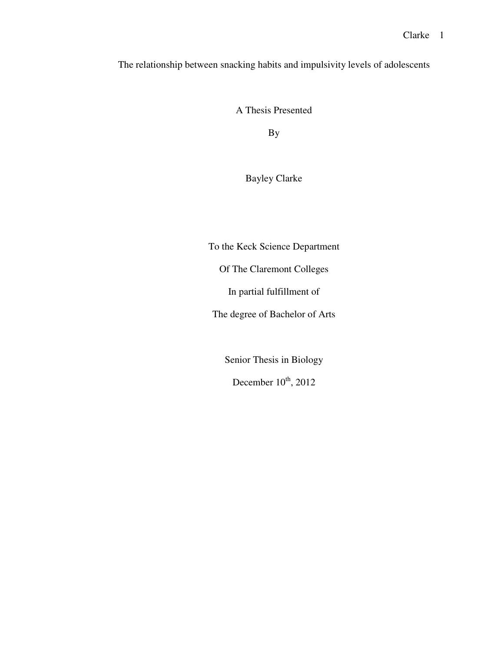The relationship between snacking habits and impulsivity levels of adolescents

A Thesis Presented

By

Bayley Clarke

To the Keck Science Department Of The Claremont Colleges In partial fulfillment of

The degree of Bachelor of Arts

Senior Thesis in Biology

December  $10^{th}$ , 2012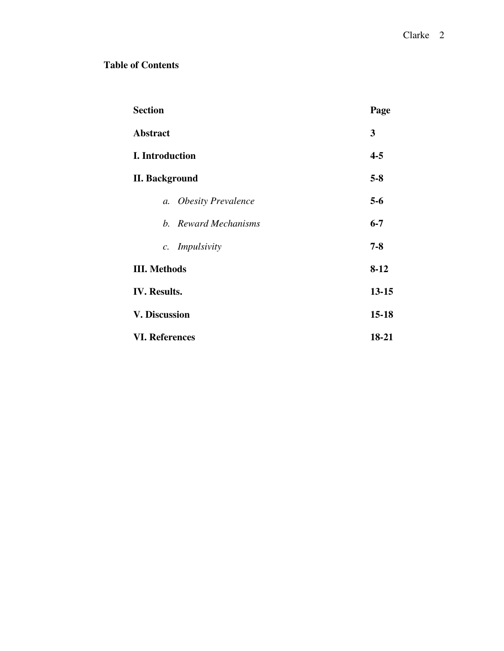## **Table of Contents**

| <b>Section</b>                     | Page      |
|------------------------------------|-----------|
| <b>Abstract</b>                    | 3         |
| <b>I.</b> Introduction             | $4 - 5$   |
| <b>II. Background</b>              | $5 - 8$   |
| <b>Obesity Prevalence</b><br>$a$ . | $5 - 6$   |
| b. Reward Mechanisms               | $6 - 7$   |
| Impulsivity<br>$c$ .               | $7 - 8$   |
| <b>III.</b> Methods                | $8-12$    |
| <b>IV.</b> Results.                | $13 - 15$ |
| <b>V. Discussion</b>               | $15 - 18$ |
| <b>VI. References</b>              | 18-21     |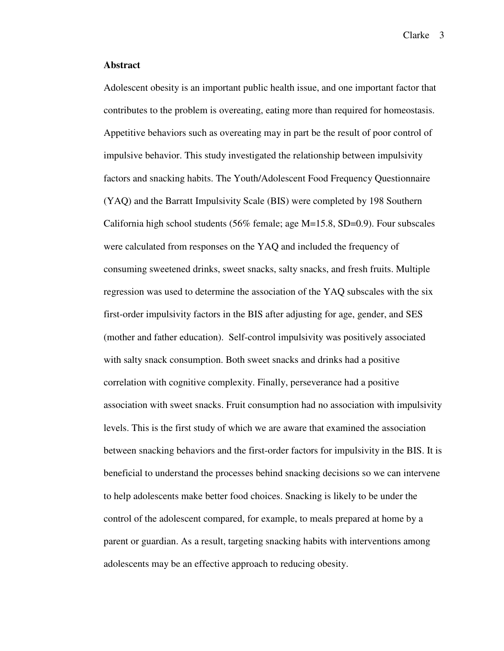## **Abstract**

Adolescent obesity is an important public health issue, and one important factor that contributes to the problem is overeating, eating more than required for homeostasis. Appetitive behaviors such as overeating may in part be the result of poor control of impulsive behavior. This study investigated the relationship between impulsivity factors and snacking habits. The Youth/Adolescent Food Frequency Questionnaire (YAQ) and the Barratt Impulsivity Scale (BIS) were completed by 198 Southern California high school students (56% female; age M=15.8, SD=0.9). Four subscales were calculated from responses on the YAQ and included the frequency of consuming sweetened drinks, sweet snacks, salty snacks, and fresh fruits. Multiple regression was used to determine the association of the YAQ subscales with the six first-order impulsivity factors in the BIS after adjusting for age, gender, and SES (mother and father education). Self-control impulsivity was positively associated with salty snack consumption. Both sweet snacks and drinks had a positive correlation with cognitive complexity. Finally, perseverance had a positive association with sweet snacks. Fruit consumption had no association with impulsivity levels. This is the first study of which we are aware that examined the association between snacking behaviors and the first-order factors for impulsivity in the BIS. It is beneficial to understand the processes behind snacking decisions so we can intervene to help adolescents make better food choices. Snacking is likely to be under the control of the adolescent compared, for example, to meals prepared at home by a parent or guardian. As a result, targeting snacking habits with interventions among adolescents may be an effective approach to reducing obesity.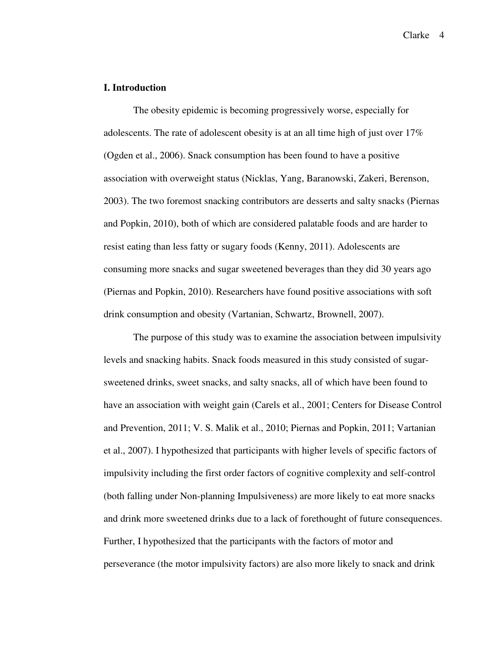### **I. Introduction**

The obesity epidemic is becoming progressively worse, especially for adolescents. The rate of adolescent obesity is at an all time high of just over 17% (Ogden et al., 2006). Snack consumption has been found to have a positive association with overweight status (Nicklas, Yang, Baranowski, Zakeri, Berenson, 2003). The two foremost snacking contributors are desserts and salty snacks (Piernas and Popkin, 2010), both of which are considered palatable foods and are harder to resist eating than less fatty or sugary foods (Kenny, 2011). Adolescents are consuming more snacks and sugar sweetened beverages than they did 30 years ago (Piernas and Popkin, 2010). Researchers have found positive associations with soft drink consumption and obesity (Vartanian, Schwartz, Brownell, 2007).

The purpose of this study was to examine the association between impulsivity levels and snacking habits. Snack foods measured in this study consisted of sugarsweetened drinks, sweet snacks, and salty snacks, all of which have been found to have an association with weight gain (Carels et al., 2001; Centers for Disease Control and Prevention, 2011; V. S. Malik et al., 2010; Piernas and Popkin, 2011; Vartanian et al., 2007). I hypothesized that participants with higher levels of specific factors of impulsivity including the first order factors of cognitive complexity and self-control (both falling under Non-planning Impulsiveness) are more likely to eat more snacks and drink more sweetened drinks due to a lack of forethought of future consequences. Further, I hypothesized that the participants with the factors of motor and perseverance (the motor impulsivity factors) are also more likely to snack and drink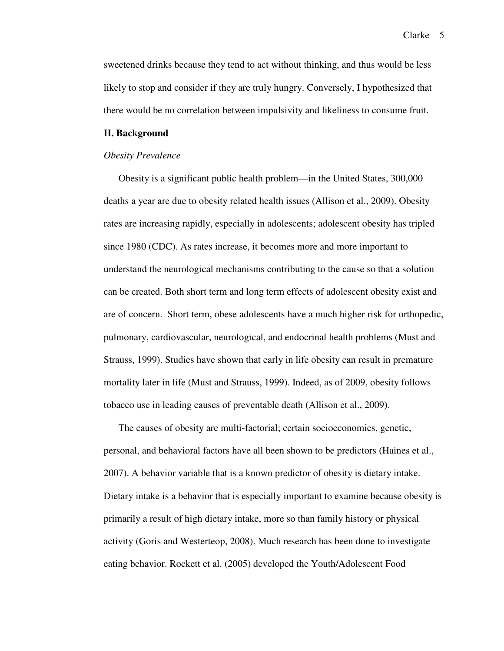sweetened drinks because they tend to act without thinking, and thus would be less likely to stop and consider if they are truly hungry. Conversely, I hypothesized that there would be no correlation between impulsivity and likeliness to consume fruit.

#### **II. Background**

#### *Obesity Prevalence*

Obesity is a significant public health problem—in the United States, 300,000 deaths a year are due to obesity related health issues (Allison et al., 2009). Obesity rates are increasing rapidly, especially in adolescents; adolescent obesity has tripled since 1980 (CDC). As rates increase, it becomes more and more important to understand the neurological mechanisms contributing to the cause so that a solution can be created. Both short term and long term effects of adolescent obesity exist and are of concern. Short term, obese adolescents have a much higher risk for orthopedic, pulmonary, cardiovascular, neurological, and endocrinal health problems (Must and Strauss, 1999). Studies have shown that early in life obesity can result in premature mortality later in life (Must and Strauss, 1999). Indeed, as of 2009, obesity follows tobacco use in leading causes of preventable death (Allison et al., 2009).

The causes of obesity are multi-factorial; certain socioeconomics, genetic, personal, and behavioral factors have all been shown to be predictors (Haines et al., 2007). A behavior variable that is a known predictor of obesity is dietary intake. Dietary intake is a behavior that is especially important to examine because obesity is primarily a result of high dietary intake, more so than family history or physical activity (Goris and Westerteop, 2008). Much research has been done to investigate eating behavior. Rockett et al. (2005) developed the Youth/Adolescent Food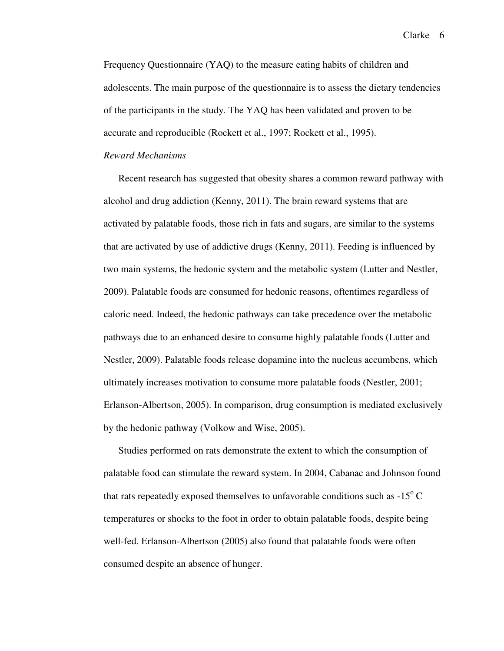Frequency Questionnaire (YAQ) to the measure eating habits of children and adolescents. The main purpose of the questionnaire is to assess the dietary tendencies of the participants in the study. The YAQ has been validated and proven to be accurate and reproducible (Rockett et al., 1997; Rockett et al., 1995).

#### *Reward Mechanisms*

Recent research has suggested that obesity shares a common reward pathway with alcohol and drug addiction (Kenny, 2011). The brain reward systems that are activated by palatable foods, those rich in fats and sugars, are similar to the systems that are activated by use of addictive drugs (Kenny, 2011). Feeding is influenced by two main systems, the hedonic system and the metabolic system (Lutter and Nestler, 2009). Palatable foods are consumed for hedonic reasons, oftentimes regardless of caloric need. Indeed, the hedonic pathways can take precedence over the metabolic pathways due to an enhanced desire to consume highly palatable foods (Lutter and Nestler, 2009). Palatable foods release dopamine into the nucleus accumbens, which ultimately increases motivation to consume more palatable foods (Nestler, 2001; Erlanson-Albertson, 2005). In comparison, drug consumption is mediated exclusively by the hedonic pathway (Volkow and Wise, 2005).

Studies performed on rats demonstrate the extent to which the consumption of palatable food can stimulate the reward system. In 2004, Cabanac and Johnson found that rats repeatedly exposed themselves to unfavorable conditions such as  $-15^{\circ}$  C temperatures or shocks to the foot in order to obtain palatable foods, despite being well-fed. Erlanson-Albertson (2005) also found that palatable foods were often consumed despite an absence of hunger.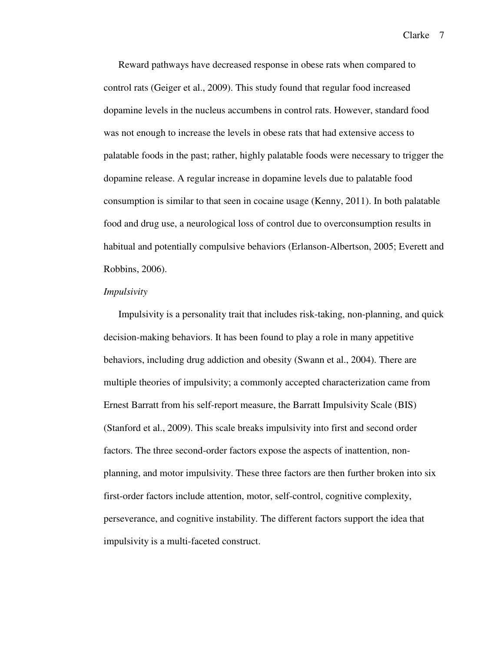Reward pathways have decreased response in obese rats when compared to control rats (Geiger et al., 2009). This study found that regular food increased dopamine levels in the nucleus accumbens in control rats. However, standard food was not enough to increase the levels in obese rats that had extensive access to palatable foods in the past; rather, highly palatable foods were necessary to trigger the dopamine release. A regular increase in dopamine levels due to palatable food consumption is similar to that seen in cocaine usage (Kenny, 2011). In both palatable food and drug use, a neurological loss of control due to overconsumption results in habitual and potentially compulsive behaviors (Erlanson-Albertson, 2005; Everett and Robbins, 2006).

#### *Impulsivity*

Impulsivity is a personality trait that includes risk-taking, non-planning, and quick decision-making behaviors. It has been found to play a role in many appetitive behaviors, including drug addiction and obesity (Swann et al., 2004). There are multiple theories of impulsivity; a commonly accepted characterization came from Ernest Barratt from his self-report measure, the Barratt Impulsivity Scale (BIS) (Stanford et al., 2009). This scale breaks impulsivity into first and second order factors. The three second-order factors expose the aspects of inattention, nonplanning, and motor impulsivity. These three factors are then further broken into six first-order factors include attention, motor, self-control, cognitive complexity, perseverance, and cognitive instability. The different factors support the idea that impulsivity is a multi-faceted construct.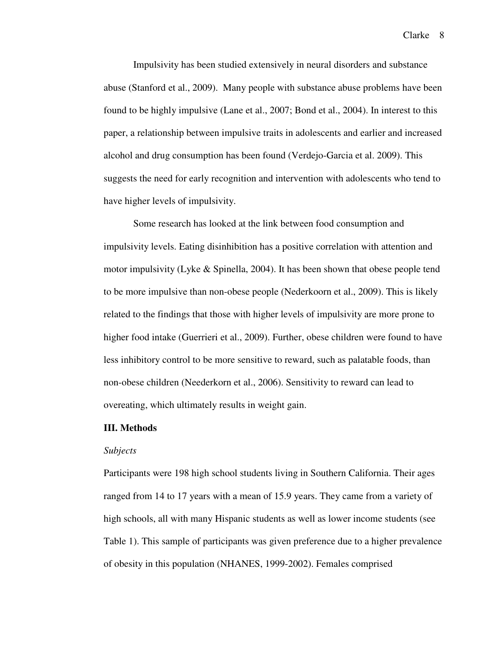Impulsivity has been studied extensively in neural disorders and substance abuse (Stanford et al., 2009). Many people with substance abuse problems have been found to be highly impulsive (Lane et al., 2007; Bond et al., 2004). In interest to this paper, a relationship between impulsive traits in adolescents and earlier and increased alcohol and drug consumption has been found (Verdejo-Garcia et al. 2009). This suggests the need for early recognition and intervention with adolescents who tend to have higher levels of impulsivity.

 Some research has looked at the link between food consumption and impulsivity levels. Eating disinhibition has a positive correlation with attention and motor impulsivity (Lyke  $\&$  Spinella, 2004). It has been shown that obese people tend to be more impulsive than non-obese people (Nederkoorn et al., 2009). This is likely related to the findings that those with higher levels of impulsivity are more prone to higher food intake (Guerrieri et al., 2009). Further, obese children were found to have less inhibitory control to be more sensitive to reward, such as palatable foods, than non-obese children (Neederkorn et al., 2006). Sensitivity to reward can lead to overeating, which ultimately results in weight gain.

#### **III. Methods**

#### *Subjects*

Participants were 198 high school students living in Southern California. Their ages ranged from 14 to 17 years with a mean of 15.9 years. They came from a variety of high schools, all with many Hispanic students as well as lower income students (see Table 1). This sample of participants was given preference due to a higher prevalence of obesity in this population (NHANES, 1999-2002). Females comprised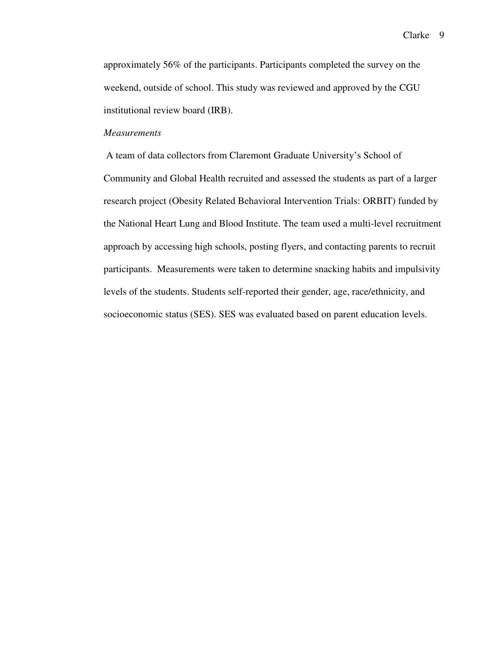approximately 56% of the participants. Participants completed the survey on the weekend, outside of school. This study was reviewed and approved by the CGU institutional review board (IRB).

## *Measurements*

 A team of data collectors from Claremont Graduate University's School of Community and Global Health recruited and assessed the students as part of a larger research project (Obesity Related Behavioral Intervention Trials: ORBIT) funded by the National Heart Lung and Blood Institute. The team used a multi-level recruitment approach by accessing high schools, posting flyers, and contacting parents to recruit participants. Measurements were taken to determine snacking habits and impulsivity levels of the students. Students self-reported their gender, age, race/ethnicity, and socioeconomic status (SES). SES was evaluated based on parent education levels.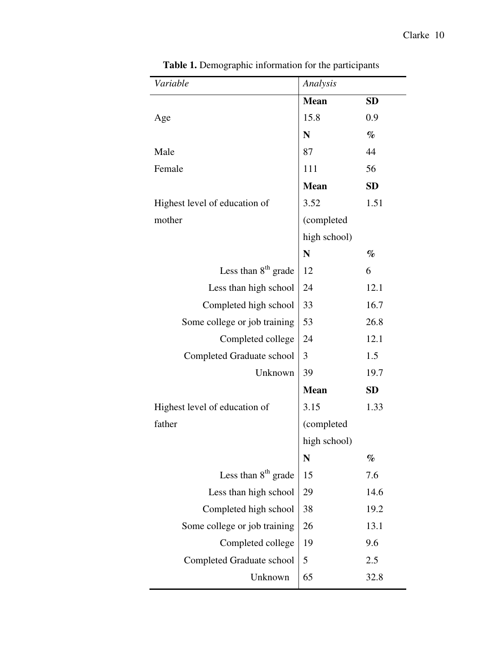L,

| Variable                        | Analysis     |           |  |
|---------------------------------|--------------|-----------|--|
|                                 | <b>Mean</b>  | <b>SD</b> |  |
| Age                             | 15.8         | 0.9       |  |
|                                 | N            | $\%$      |  |
| Male                            | 87           | 44        |  |
| Female                          | 111          | 56        |  |
|                                 | <b>Mean</b>  | <b>SD</b> |  |
| Highest level of education of   | 3.52         | 1.51      |  |
| mother                          | (completed   |           |  |
|                                 | high school) |           |  |
|                                 | N            | $\%$      |  |
| Less than 8 <sup>th</sup> grade | 12           | 6         |  |
| Less than high school           | 24           | 12.1      |  |
| Completed high school           | 33           | 16.7      |  |
| Some college or job training    | 53           | 26.8      |  |
| Completed college               | 24           | 12.1      |  |
| Completed Graduate school       | 3            | 1.5       |  |
| Unknown                         | 39           | 19.7      |  |
|                                 | <b>Mean</b>  | <b>SD</b> |  |
| Highest level of education of   | 3.15         | 1.33      |  |
| father                          | (completed   |           |  |
|                                 | high school) |           |  |
|                                 | N            | $\%$      |  |
| Less than $8th$ grade           | 15           | 7.6       |  |
| Less than high school           | 29           | 14.6      |  |
| Completed high school           | 38           | 19.2      |  |
| Some college or job training    | 26           | 13.1      |  |
| Completed college               | 19           | 9.6       |  |
| Completed Graduate school       | 5            | 2.5       |  |
| Unknown                         | 65           | 32.8      |  |

**Table 1.** Demographic information for the participants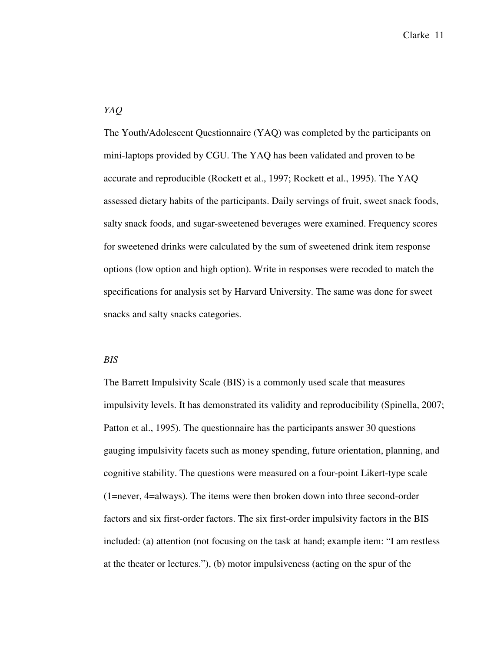## *YAQ*

The Youth/Adolescent Questionnaire (YAQ) was completed by the participants on mini-laptops provided by CGU. The YAQ has been validated and proven to be accurate and reproducible (Rockett et al., 1997; Rockett et al., 1995). The YAQ assessed dietary habits of the participants. Daily servings of fruit, sweet snack foods, salty snack foods, and sugar-sweetened beverages were examined. Frequency scores for sweetened drinks were calculated by the sum of sweetened drink item response options (low option and high option). Write in responses were recoded to match the specifications for analysis set by Harvard University. The same was done for sweet snacks and salty snacks categories.

## *BIS*

The Barrett Impulsivity Scale (BIS) is a commonly used scale that measures impulsivity levels. It has demonstrated its validity and reproducibility (Spinella, 2007; Patton et al., 1995). The questionnaire has the participants answer 30 questions gauging impulsivity facets such as money spending, future orientation, planning, and cognitive stability. The questions were measured on a four-point Likert-type scale (1=never, 4=always). The items were then broken down into three second-order factors and six first-order factors. The six first-order impulsivity factors in the BIS included: (a) attention (not focusing on the task at hand; example item: "I am restless at the theater or lectures."), (b) motor impulsiveness (acting on the spur of the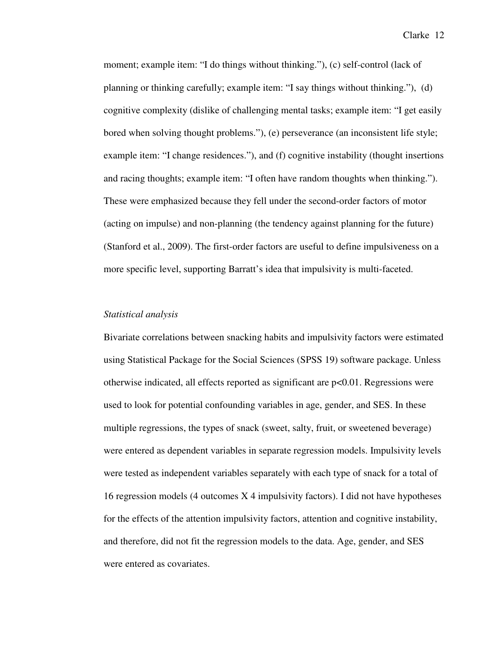moment; example item: "I do things without thinking."), (c) self-control (lack of planning or thinking carefully; example item: "I say things without thinking."), (d) cognitive complexity (dislike of challenging mental tasks; example item: "I get easily bored when solving thought problems."), (e) perseverance (an inconsistent life style; example item: "I change residences."), and (f) cognitive instability (thought insertions and racing thoughts; example item: "I often have random thoughts when thinking."). These were emphasized because they fell under the second-order factors of motor (acting on impulse) and non-planning (the tendency against planning for the future) (Stanford et al., 2009). The first-order factors are useful to define impulsiveness on a more specific level, supporting Barratt's idea that impulsivity is multi-faceted.

#### *Statistical analysis*

Bivariate correlations between snacking habits and impulsivity factors were estimated using Statistical Package for the Social Sciences (SPSS 19) software package. Unless otherwise indicated, all effects reported as significant are p<0.01. Regressions were used to look for potential confounding variables in age, gender, and SES. In these multiple regressions, the types of snack (sweet, salty, fruit, or sweetened beverage) were entered as dependent variables in separate regression models. Impulsivity levels were tested as independent variables separately with each type of snack for a total of 16 regression models (4 outcomes X 4 impulsivity factors). I did not have hypotheses for the effects of the attention impulsivity factors, attention and cognitive instability, and therefore, did not fit the regression models to the data. Age, gender, and SES were entered as covariates.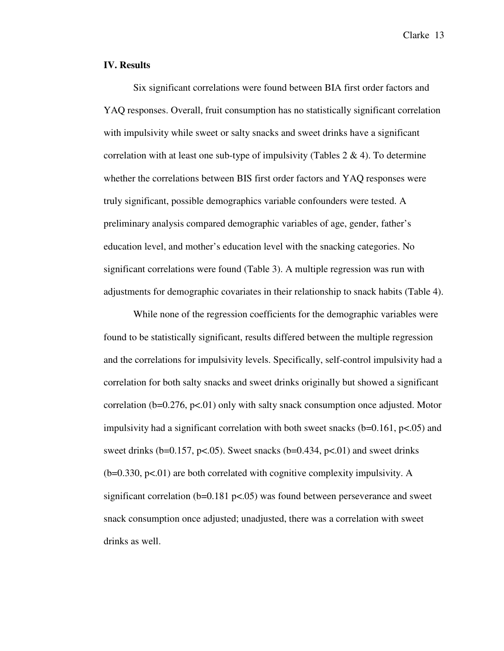#### **IV. Results**

Six significant correlations were found between BIA first order factors and YAQ responses. Overall, fruit consumption has no statistically significant correlation with impulsivity while sweet or salty snacks and sweet drinks have a significant correlation with at least one sub-type of impulsivity (Tables  $2 \& 4$ ). To determine whether the correlations between BIS first order factors and YAQ responses were truly significant, possible demographics variable confounders were tested. A preliminary analysis compared demographic variables of age, gender, father's education level, and mother's education level with the snacking categories. No significant correlations were found (Table 3). A multiple regression was run with adjustments for demographic covariates in their relationship to snack habits (Table 4).

While none of the regression coefficients for the demographic variables were found to be statistically significant, results differed between the multiple regression and the correlations for impulsivity levels. Specifically, self-control impulsivity had a correlation for both salty snacks and sweet drinks originally but showed a significant correlation ( $b=0.276$ ,  $p<.01$ ) only with salty snack consumption once adjusted. Motor impulsivity had a significant correlation with both sweet snacks  $(b=0.161, p<.05)$  and sweet drinks (b=0.157, p<.05). Sweet snacks (b=0.434, p<.01) and sweet drinks  $(b=0.330, p<0.01)$  are both correlated with cognitive complexity impulsivity. A significant correlation ( $b=0.181$  p $\lt 0.05$ ) was found between perseverance and sweet snack consumption once adjusted; unadjusted, there was a correlation with sweet drinks as well.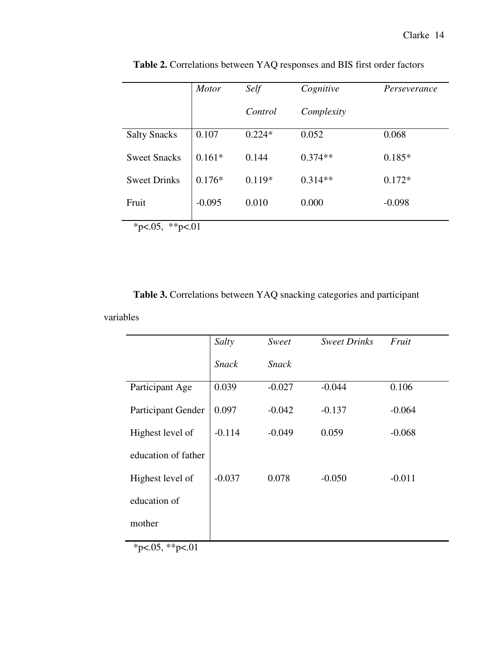|                            | <b>Motor</b> | Self     | Cognitive  | Perseverance |
|----------------------------|--------------|----------|------------|--------------|
|                            |              | Control  | Complexity |              |
| <b>Salty Snacks</b>        | 0.107        | $0.224*$ | 0.052      | 0.068        |
| <b>Sweet Snacks</b>        | $0.161*$     | 0.144    | $0.374**$  | $0.185*$     |
| <b>Sweet Drinks</b>        | $0.176*$     | $0.119*$ | $0.314**$  | $0.172*$     |
| Fruit                      | $-0.095$     | 0.010    | 0.000      | $-0.098$     |
| **p $< 01$<br>*p $<0.05$ , |              |          |            |              |

**Table 2.** Correlations between YAQ responses and BIS first order factors

 **Table 3.** Correlations between YAQ snacking categories and participant

variables

|                     | Salty        | Sweet        | <b>Sweet Drinks</b> | Fruit    |
|---------------------|--------------|--------------|---------------------|----------|
|                     | <b>Snack</b> | <b>Snack</b> |                     |          |
| Participant Age     | 0.039        | $-0.027$     | $-0.044$            | 0.106    |
| Participant Gender  | 0.097        | $-0.042$     | $-0.137$            | $-0.064$ |
| Highest level of    | $-0.114$     | $-0.049$     | 0.059               | $-0.068$ |
| education of father |              |              |                     |          |
| Highest level of    | $-0.037$     | 0.078        | $-0.050$            | $-0.011$ |
| education of        |              |              |                     |          |
| mother              |              |              |                     |          |

 $*p<.05$ ,  $*p<.01$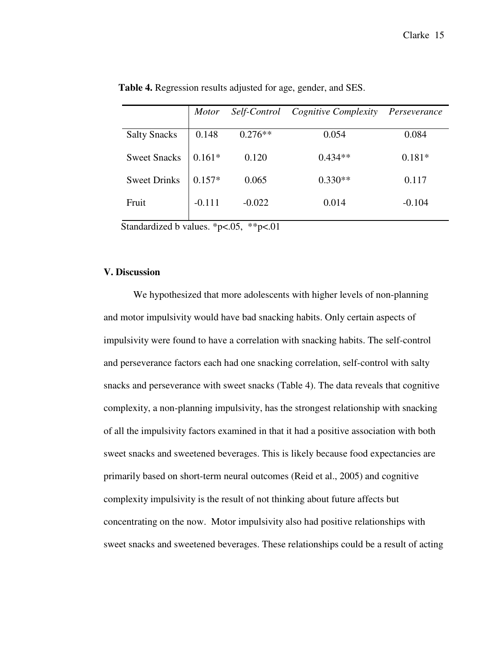|                     | <i>Motor</i> | Self-Control | Cognitive Complexity | Perseverance |
|---------------------|--------------|--------------|----------------------|--------------|
|                     |              |              |                      |              |
| <b>Salty Snacks</b> | 0.148        | $0.276**$    | 0.054                | 0.084        |
| <b>Sweet Snacks</b> | $0.161*$     | 0.120        | $0.434**$            | $0.181*$     |
|                     |              |              |                      |              |
| <b>Sweet Drinks</b> | $0.157*$     | 0.065        | $0.330**$            | 0.117        |
| Fruit               | $-0.111$     | $-0.022$     | 0.014                | $-0.104$     |

 **Table 4.** Regression results adjusted for age, gender, and SES.

Standardized b values. \*p<.05, \*\*p<.01

## **V. Discussion**

 We hypothesized that more adolescents with higher levels of non-planning and motor impulsivity would have bad snacking habits. Only certain aspects of impulsivity were found to have a correlation with snacking habits. The self-control and perseverance factors each had one snacking correlation, self-control with salty snacks and perseverance with sweet snacks (Table 4). The data reveals that cognitive complexity, a non-planning impulsivity, has the strongest relationship with snacking of all the impulsivity factors examined in that it had a positive association with both sweet snacks and sweetened beverages. This is likely because food expectancies are primarily based on short-term neural outcomes (Reid et al., 2005) and cognitive complexity impulsivity is the result of not thinking about future affects but concentrating on the now. Motor impulsivity also had positive relationships with sweet snacks and sweetened beverages. These relationships could be a result of acting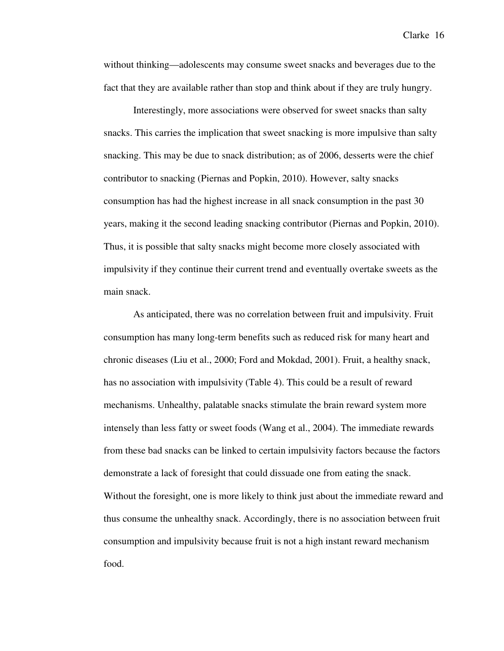without thinking—adolescents may consume sweet snacks and beverages due to the fact that they are available rather than stop and think about if they are truly hungry.

 Interestingly, more associations were observed for sweet snacks than salty snacks. This carries the implication that sweet snacking is more impulsive than salty snacking. This may be due to snack distribution; as of 2006, desserts were the chief contributor to snacking (Piernas and Popkin, 2010). However, salty snacks consumption has had the highest increase in all snack consumption in the past 30 years, making it the second leading snacking contributor (Piernas and Popkin, 2010). Thus, it is possible that salty snacks might become more closely associated with impulsivity if they continue their current trend and eventually overtake sweets as the main snack.

 As anticipated, there was no correlation between fruit and impulsivity. Fruit consumption has many long-term benefits such as reduced risk for many heart and chronic diseases (Liu et al., 2000; Ford and Mokdad, 2001). Fruit, a healthy snack, has no association with impulsivity (Table 4). This could be a result of reward mechanisms. Unhealthy, palatable snacks stimulate the brain reward system more intensely than less fatty or sweet foods (Wang et al., 2004). The immediate rewards from these bad snacks can be linked to certain impulsivity factors because the factors demonstrate a lack of foresight that could dissuade one from eating the snack. Without the foresight, one is more likely to think just about the immediate reward and thus consume the unhealthy snack. Accordingly, there is no association between fruit consumption and impulsivity because fruit is not a high instant reward mechanism food.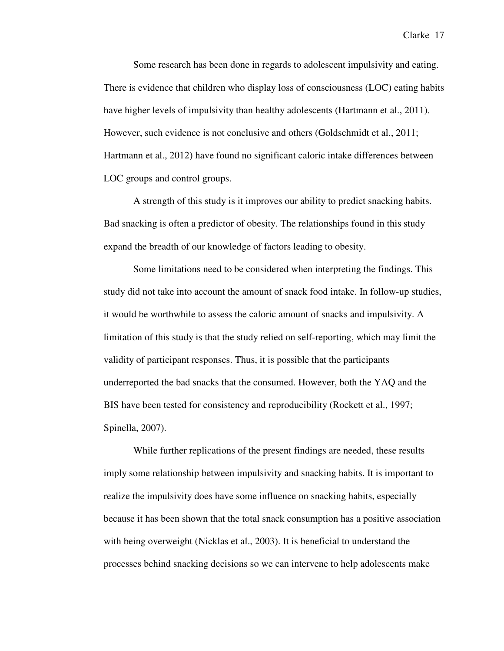Some research has been done in regards to adolescent impulsivity and eating. There is evidence that children who display loss of consciousness (LOC) eating habits have higher levels of impulsivity than healthy adolescents (Hartmann et al., 2011). However, such evidence is not conclusive and others (Goldschmidt et al., 2011; Hartmann et al., 2012) have found no significant caloric intake differences between LOC groups and control groups.

 A strength of this study is it improves our ability to predict snacking habits. Bad snacking is often a predictor of obesity. The relationships found in this study expand the breadth of our knowledge of factors leading to obesity.

 Some limitations need to be considered when interpreting the findings. This study did not take into account the amount of snack food intake. In follow-up studies, it would be worthwhile to assess the caloric amount of snacks and impulsivity. A limitation of this study is that the study relied on self-reporting, which may limit the validity of participant responses. Thus, it is possible that the participants underreported the bad snacks that the consumed. However, both the YAQ and the BIS have been tested for consistency and reproducibility (Rockett et al., 1997; Spinella, 2007).

While further replications of the present findings are needed, these results imply some relationship between impulsivity and snacking habits. It is important to realize the impulsivity does have some influence on snacking habits, especially because it has been shown that the total snack consumption has a positive association with being overweight (Nicklas et al., 2003). It is beneficial to understand the processes behind snacking decisions so we can intervene to help adolescents make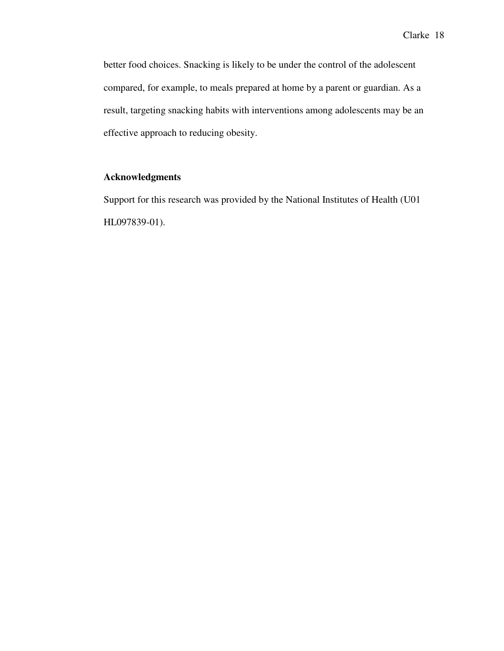better food choices. Snacking is likely to be under the control of the adolescent compared, for example, to meals prepared at home by a parent or guardian. As a result, targeting snacking habits with interventions among adolescents may be an effective approach to reducing obesity.

## **Acknowledgments**

Support for this research was provided by the National Institutes of Health (U01 HL097839-01).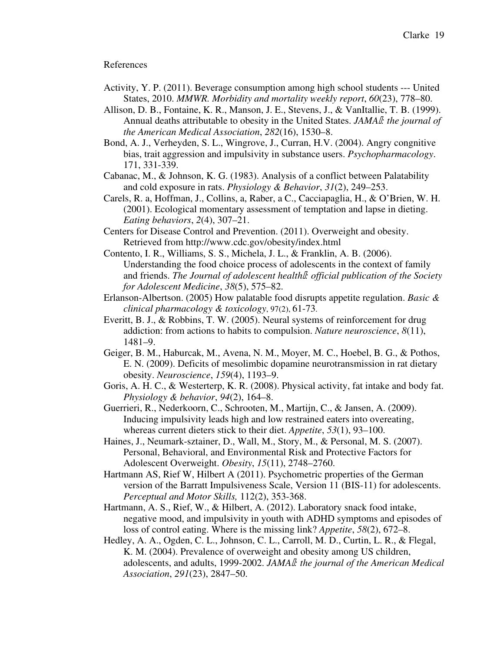#### References

- Activity, Y. P. (2011). Beverage consumption among high school students --- United States, 2010. *MMWR. Morbidity and mortality weekly report*, *60*(23), 778–80.
- Allison, D. B., Fontaine, K. R., Manson, J. E., Stevens, J., & VanItallie, T. B. (1999). Annual deaths attributable to obesity in the United States. *JAMA: the journal of the American Medical Association*, *282*(16), 1530–8.
- Bond, A. J., Verheyden, S. L., Wingrove, J., Curran, H.V. (2004). Angry congnitive bias, trait aggression and impulsivity in substance users. *Psychopharmacology*. 171, 331-339.
- Cabanac, M., & Johnson, K. G. (1983). Analysis of a conflict between Palatability and cold exposure in rats. *Physiology & Behavior*, *31*(2), 249–253.
- Carels, R. a, Hoffman, J., Collins, a, Raber, a C., Cacciapaglia, H., & O'Brien, W. H. (2001). Ecological momentary assessment of temptation and lapse in dieting. *Eating behaviors*, *2*(4), 307–21.
- Centers for Disease Control and Prevention. (2011). Overweight and obesity. Retrieved from http://www.cdc.gov/obesity/index.html
- Contento, I. R., Williams, S. S., Michela, J. L., & Franklin, A. B. (2006). Understanding the food choice process of adolescents in the context of family and friends. *The Journal of adolescent health: official publication of the Society for Adolescent Medicine*, *38*(5), 575–82.
- Erlanson-Albertson. (2005) How palatable food disrupts appetite regulation. *Basic & clinical pharmacology & toxicology*, 97(2), 61-73.
- Everitt, B. J., & Robbins, T. W. (2005). Neural systems of reinforcement for drug addiction: from actions to habits to compulsion. *Nature neuroscience*, *8*(11), 1481–9.
- Geiger, B. M., Haburcak, M., Avena, N. M., Moyer, M. C., Hoebel, B. G., & Pothos, E. N. (2009). Deficits of mesolimbic dopamine neurotransmission in rat dietary obesity. *Neuroscience*, *159*(4), 1193–9.
- Goris, A. H. C., & Westerterp, K. R. (2008). Physical activity, fat intake and body fat. *Physiology & behavior*, *94*(2), 164–8.
- Guerrieri, R., Nederkoorn, C., Schrooten, M., Martijn, C., & Jansen, A. (2009). Inducing impulsivity leads high and low restrained eaters into overeating, whereas current dieters stick to their diet. *Appetite*, *53*(1), 93–100.
- Haines, J., Neumark-sztainer, D., Wall, M., Story, M., & Personal, M. S. (2007). Personal, Behavioral, and Environmental Risk and Protective Factors for Adolescent Overweight. *Obesity*, *15*(11), 2748–2760.
- Hartmann AS, Rief W, Hilbert A (2011). Psychometric properties of the German version of the Barratt Impulsiveness Scale, Version 11 (BIS-11) for adolescents. *Perceptual and Motor Skills,* 112(2), 353-368.
- Hartmann, A. S., Rief, W., & Hilbert, A. (2012). Laboratory snack food intake, negative mood, and impulsivity in youth with ADHD symptoms and episodes of loss of control eating. Where is the missing link? *Appetite*, *58*(2), 672–8.
- Hedley, A. A., Ogden, C. L., Johnson, C. L., Carroll, M. D., Curtin, L. R., & Flegal, K. M. (2004). Prevalence of overweight and obesity among US children, adolescents, and adults, 1999-2002. *JAMA: the journal of the American Medical Association*, *291*(23), 2847–50.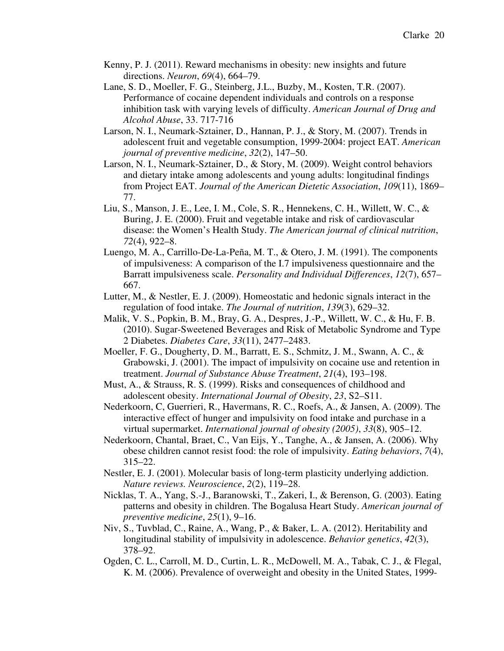- Kenny, P. J. (2011). Reward mechanisms in obesity: new insights and future directions. *Neuron*, *69*(4), 664–79.
- Lane, S. D., Moeller, F. G., Steinberg, J.L., Buzby, M., Kosten, T.R. (2007). Performance of cocaine dependent individuals and controls on a response inhibition task with varying levels of difficulty. *American Journal of Drug and Alcohol Abuse*, 33. 717-716
- Larson, N. I., Neumark-Sztainer, D., Hannan, P. J., & Story, M. (2007). Trends in adolescent fruit and vegetable consumption, 1999-2004: project EAT. *American journal of preventive medicine*, *32*(2), 147–50.
- Larson, N. I., Neumark-Sztainer, D., & Story, M. (2009). Weight control behaviors and dietary intake among adolescents and young adults: longitudinal findings from Project EAT. *Journal of the American Dietetic Association*, *109*(11), 1869– 77.
- Liu, S., Manson, J. E., Lee, I. M., Cole, S. R., Hennekens, C. H., Willett, W. C., & Buring, J. E. (2000). Fruit and vegetable intake and risk of cardiovascular disease: the Women's Health Study. *The American journal of clinical nutrition*, *72*(4), 922–8.
- Luengo, M. A., Carrillo-De-La-Peña, M. T., & Otero, J. M. (1991). The components of impulsiveness: A comparison of the I.7 impulsiveness questionnaire and the Barratt impulsiveness scale. *Personality and Individual Differences*, *12*(7), 657– 667.
- Lutter, M., & Nestler, E. J. (2009). Homeostatic and hedonic signals interact in the regulation of food intake. *The Journal of nutrition*, *139*(3), 629–32.
- Malik, V. S., Popkin, B. M., Bray, G. A., Despres, J.-P., Willett, W. C., & Hu, F. B. (2010). Sugar-Sweetened Beverages and Risk of Metabolic Syndrome and Type 2 Diabetes. *Diabetes Care*, *33*(11), 2477–2483.
- Moeller, F. G., Dougherty, D. M., Barratt, E. S., Schmitz, J. M., Swann, A. C., & Grabowski, J. (2001). The impact of impulsivity on cocaine use and retention in treatment. *Journal of Substance Abuse Treatment*, *21*(4), 193–198.
- Must, A., & Strauss, R. S. (1999). Risks and consequences of childhood and adolescent obesity. *International Journal of Obesity*, *23*, S2–S11.
- Nederkoorn, C, Guerrieri, R., Havermans, R. C., Roefs, A., & Jansen, A. (2009). The interactive effect of hunger and impulsivity on food intake and purchase in a virtual supermarket. *International journal of obesity (2005)*, *33*(8), 905–12.
- Nederkoorn, Chantal, Braet, C., Van Eijs, Y., Tanghe, A., & Jansen, A. (2006). Why obese children cannot resist food: the role of impulsivity. *Eating behaviors*, *7*(4), 315–22.
- Nestler, E. J. (2001). Molecular basis of long-term plasticity underlying addiction. *Nature reviews. Neuroscience*, *2*(2), 119–28.
- Nicklas, T. A., Yang, S.-J., Baranowski, T., Zakeri, I., & Berenson, G. (2003). Eating patterns and obesity in children. The Bogalusa Heart Study. *American journal of preventive medicine*, *25*(1), 9–16.
- Niv, S., Tuvblad, C., Raine, A., Wang, P., & Baker, L. A. (2012). Heritability and longitudinal stability of impulsivity in adolescence. *Behavior genetics*, *42*(3), 378–92.
- Ogden, C. L., Carroll, M. D., Curtin, L. R., McDowell, M. A., Tabak, C. J., & Flegal, K. M. (2006). Prevalence of overweight and obesity in the United States, 1999-